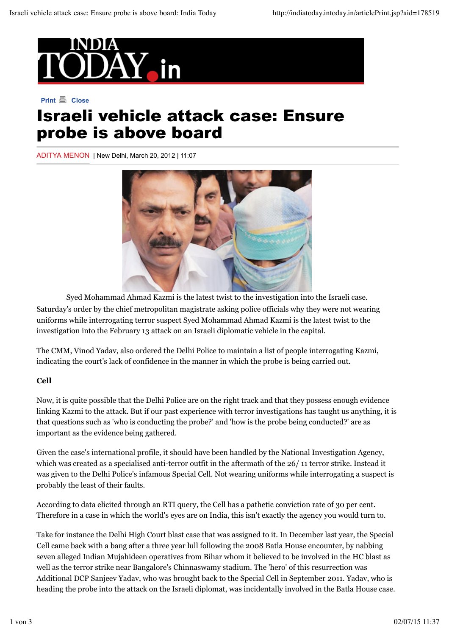

# **Print A** Close Israeli vehicle attack case: Ensure probe is above board

ADITYA MENON | New Delhi, March 20, 2012 | 11:07



Syed Mohammad Ahmad Kazmi is the latest twist to the investigation into the Israeli case. Saturday's order by the chief metropolitan magistrate asking police officials why they were not wearing uniforms while interrogating terror suspect Syed Mohammad Ahmad Kazmi is the latest twist to the investigation into the February 13 attack on an Israeli diplomatic vehicle in the capital.

The CMM, Vinod Yadav, also ordered the Delhi Police to maintain a list of people interrogating Kazmi, indicating the court's lack of confidence in the manner in which the probe is being carried out.

## **Cell**

Now, it is quite possible that the Delhi Police are on the right track and that they possess enough evidence linking Kazmi to the attack. But if our past experience with terror investigations has taught us anything, it is that questions such as 'who is conducting the probe?' and 'how is the probe being conducted?' are as important as the evidence being gathered.

Given the case's international profile, it should have been handled by the National Investigation Agency, which was created as a specialised anti-terror outfit in the aftermath of the 26/ 11 terror strike. Instead it was given to the Delhi Police's infamous Special Cell. Not wearing uniforms while interrogating a suspect is probably the least of their faults.

According to data elicited through an RTI query, the Cell has a pathetic conviction rate of 30 per cent. Therefore in a case in which the world's eyes are on India, this isn't exactly the agency you would turn to.

Take for instance the Delhi High Court blast case that was assigned to it. In December last year, the Special Cell came back with a bang after a three year lull following the 2008 Batla House encounter, by nabbing seven alleged Indian Mujahideen operatives from Bihar whom it believed to be involved in the HC blast as well as the terror strike near Bangalore's Chinnaswamy stadium. The 'hero' of this resurrection was Additional DCP Sanjeev Yadav, who was brought back to the Special Cell in September 2011. Yadav, who is heading the probe into the attack on the Israeli diplomat, was incidentally involved in the Batla House case.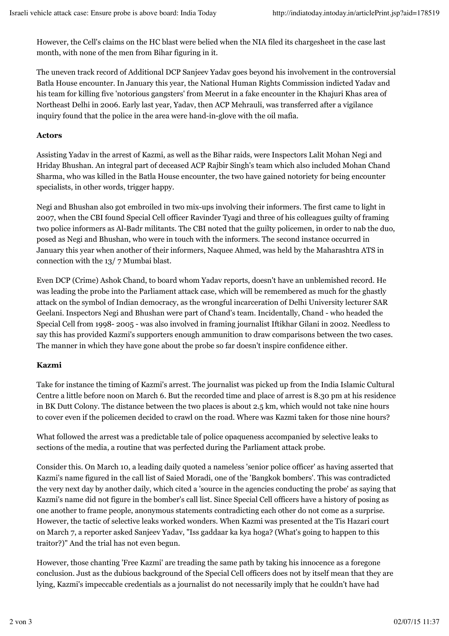However, the Cell's claims on the HC blast were belied when the NIA filed its chargesheet in the case last month, with none of the men from Bihar figuring in it.

The uneven track record of Additional DCP Sanjeev Yadav goes beyond his involvement in the controversial Batla House encounter. In January this year, the National Human Rights Commission indicted Yadav and his team for killing five 'notorious gangsters' from Meerut in a fake encounter in the Khajuri Khas area of Northeast Delhi in 2006. Early last year, Yadav, then ACP Mehrauli, was transferred after a vigilance inquiry found that the police in the area were hand-in-glove with the oil mafia.

#### **Actors**

Assisting Yadav in the arrest of Kazmi, as well as the Bihar raids, were Inspectors Lalit Mohan Negi and Hriday Bhushan. An integral part of deceased ACP Rajbir Singh's team which also included Mohan Chand Sharma, who was killed in the Batla House encounter, the two have gained notoriety for being encounter specialists, in other words, trigger happy.

Negi and Bhushan also got embroiled in two mix-ups involving their informers. The first came to light in 2007, when the CBI found Special Cell officer Ravinder Tyagi and three of his colleagues guilty of framing two police informers as Al-Badr militants. The CBI noted that the guilty policemen, in order to nab the duo, posed as Negi and Bhushan, who were in touch with the informers. The second instance occurred in January this year when another of their informers, Naquee Ahmed, was held by the Maharashtra ATS in connection with the 13/ 7 Mumbai blast.

Even DCP (Crime) Ashok Chand, to board whom Yadav reports, doesn't have an unblemished record. He was leading the probe into the Parliament attack case, which will be remembered as much for the ghastly attack on the symbol of Indian democracy, as the wrongful incarceration of Delhi University lecturer SAR Geelani. Inspectors Negi and Bhushan were part of Chand's team. Incidentally, Chand - who headed the Special Cell from 1998- 2005 - was also involved in framing journalist Iftikhar Gilani in 2002. Needless to say this has provided Kazmi's supporters enough ammunition to draw comparisons between the two cases. The manner in which they have gone about the probe so far doesn't inspire confidence either.

## **Kazmi**

Take for instance the timing of Kazmi's arrest. The journalist was picked up from the India Islamic Cultural Centre a little before noon on March 6. But the recorded time and place of arrest is 8.30 pm at his residence in BK Dutt Colony. The distance between the two places is about 2.5 km, which would not take nine hours to cover even if the policemen decided to crawl on the road. Where was Kazmi taken for those nine hours?

What followed the arrest was a predictable tale of police opaqueness accompanied by selective leaks to sections of the media, a routine that was perfected during the Parliament attack probe.

Consider this. On March 10, a leading daily quoted a nameless 'senior police officer' as having asserted that Kazmi's name figured in the call list of Saied Moradi, one of the 'Bangkok bombers'. This was contradicted the very next day by another daily, which cited a 'source in the agencies conducting the probe' as saying that Kazmi's name did not figure in the bomber's call list. Since Special Cell officers have a history of posing as one another to frame people, anonymous statements contradicting each other do not come as a surprise. However, the tactic of selective leaks worked wonders. When Kazmi was presented at the Tis Hazari court on March 7, a reporter asked Sanjeev Yadav, "Iss gaddaar ka kya hoga? (What's going to happen to this traitor?)" And the trial has not even begun.

However, those chanting 'Free Kazmi' are treading the same path by taking his innocence as a foregone conclusion. Just as the dubious background of the Special Cell officers does not by itself mean that they are lying, Kazmi's impeccable credentials as a journalist do not necessarily imply that he couldn't have had